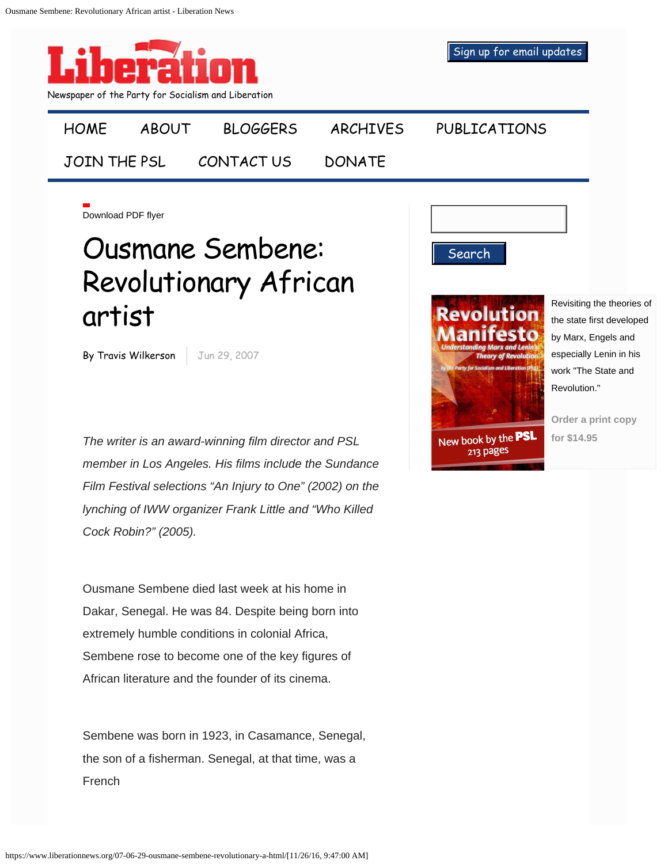

## Ousmane Sembene: Revolutionary African artist

By Travis Wilkerson | Jun 29, 2007

*The writer is an award-winning film director and PSL member in Los Angeles. His films include the Sundance Film Festival selections "An Injury to One" (2002) on the lynching of IWW organizer Frank Little and "Who Killed Cock Robin?" (2005).*

Ousmane Sembene died last week at his home in Dakar, Senegal. He was 84. Despite being born into extremely humble conditions in colonial Africa, Sembene rose to become one of the key figures of African literature and the founder of its cinema.

Sembene was born in 1923, in Casamance, Senegal, the son of a fisherman. Senegal, at that time, was a French



Search

Revisiting the theories of the state first developed by Marx, Engels and especially Lenin in his work "The State and Revolution."

**[Order a print copy](http://store.pslweb.org/Revolution-Manifesto-Understanding-Marx-and-Lenins-Theory-of-Revolution_p_33.html) [for \\$14.95](http://store.pslweb.org/Revolution-Manifesto-Understanding-Marx-and-Lenins-Theory-of-Revolution_p_33.html)**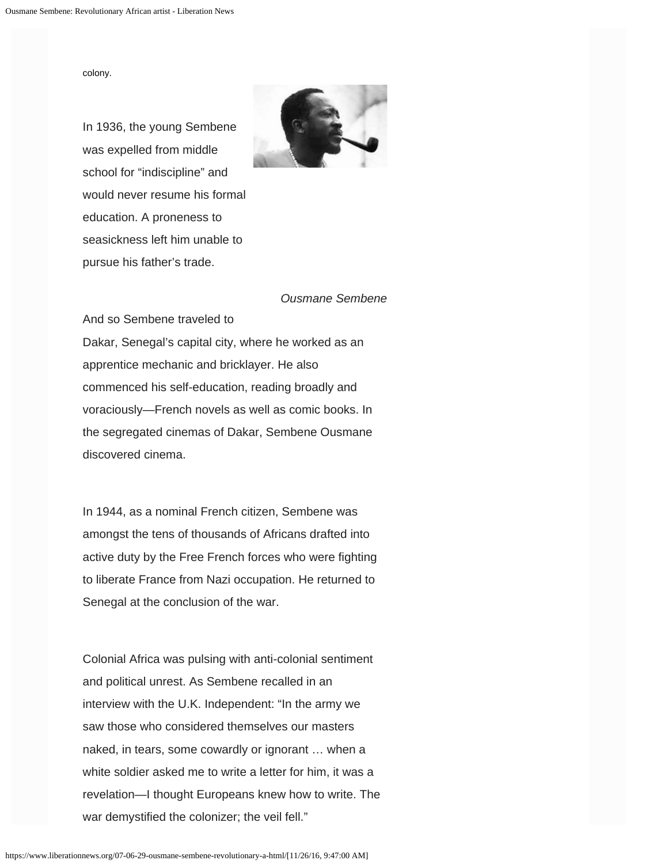colony.



In 1936, the young Sembene was expelled from middle school for "indiscipline" and would never resume his formal education. A proneness to seasickness left him unable to pursue his father's trade.

## *Ousmane Sembene*

And so Sembene traveled to

Dakar, Senegal's capital city, where he worked as an apprentice mechanic and bricklayer. He also commenced his self-education, reading broadly and voraciously—French novels as well as comic books. In the segregated cinemas of Dakar, Sembene Ousmane discovered cinema.

In 1944, as a nominal French citizen, Sembene was amongst the tens of thousands of Africans drafted into active duty by the Free French forces who were fighting to liberate France from Nazi occupation. He returned to Senegal at the conclusion of the war.

Colonial Africa was pulsing with anti-colonial sentiment and political unrest. As Sembene recalled in an interview with the U.K. Independent: "In the army we saw those who considered themselves our masters naked, in tears, some cowardly or ignorant … when a white soldier asked me to write a letter for him, it was a revelation—I thought Europeans knew how to write. The war demystified the colonizer; the veil fell."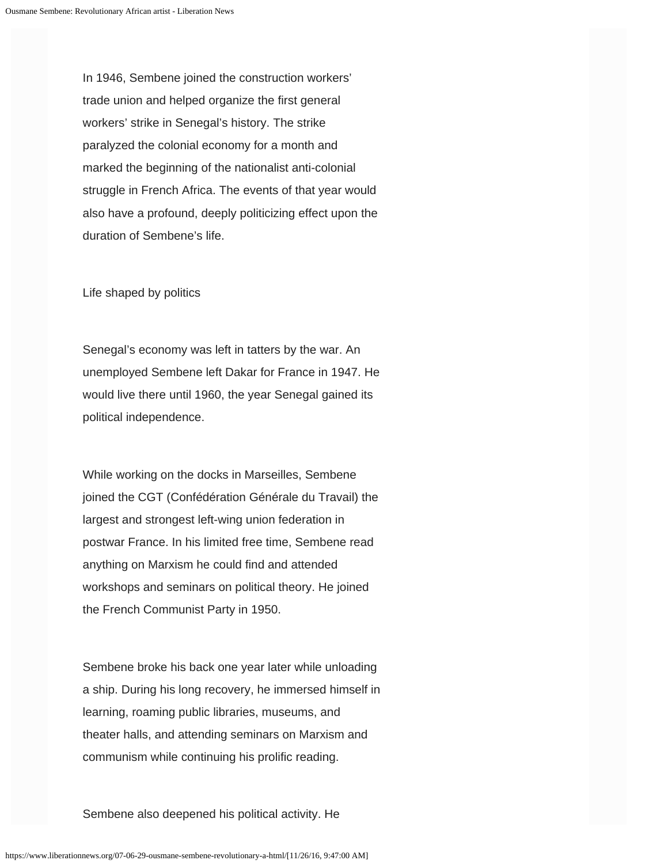In 1946, Sembene joined the construction workers' trade union and helped organize the first general workers' strike in Senegal's history. The strike paralyzed the colonial economy for a month and marked the beginning of the nationalist anti-colonial struggle in French Africa. The events of that year would also have a profound, deeply politicizing effect upon the duration of Sembene's life.

Life shaped by politics

Senegal's economy was left in tatters by the war. An unemployed Sembene left Dakar for France in 1947. He would live there until 1960, the year Senegal gained its political independence.

While working on the docks in Marseilles, Sembene joined the CGT (Confédération Générale du Travail) the largest and strongest left-wing union federation in postwar France. In his limited free time, Sembene read anything on Marxism he could find and attended workshops and seminars on political theory. He joined the French Communist Party in 1950.

Sembene broke his back one year later while unloading a ship. During his long recovery, he immersed himself in learning, roaming public libraries, museums, and theater halls, and attending seminars on Marxism and communism while continuing his prolific reading.

Sembene also deepened his political activity. He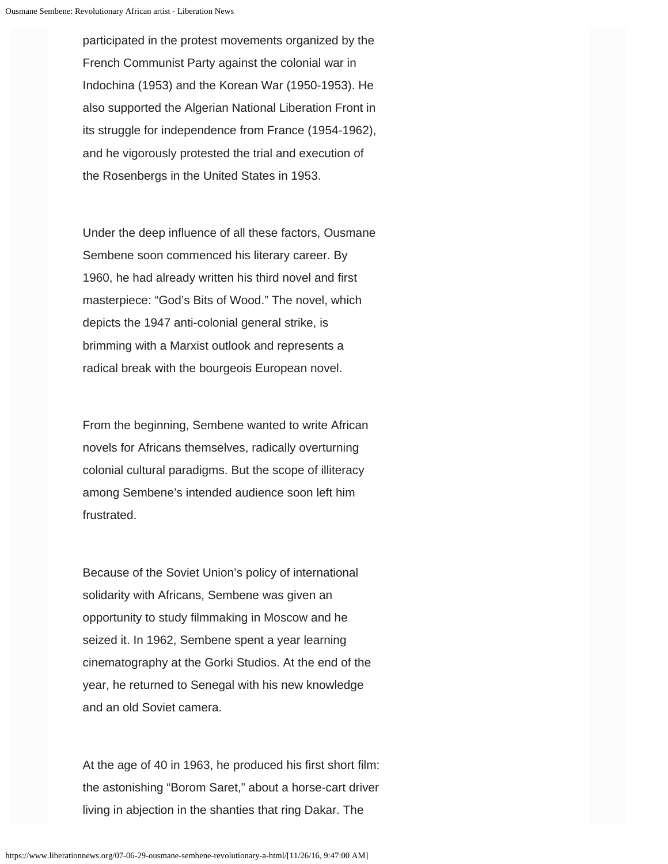participated in the protest movements organized by the French Communist Party against the colonial war in Indochina (1953) and the Korean War (1950-1953). He also supported the Algerian National Liberation Front in its struggle for independence from France (1954-1962), and he vigorously protested the trial and execution of the Rosenbergs in the United States in 1953.

Under the deep influence of all these factors, Ousmane Sembene soon commenced his literary career. By 1960, he had already written his third novel and first masterpiece: "God's Bits of Wood." The novel, which depicts the 1947 anti-colonial general strike, is brimming with a Marxist outlook and represents a radical break with the bourgeois European novel.

From the beginning, Sembene wanted to write African novels for Africans themselves, radically overturning colonial cultural paradigms. But the scope of illiteracy among Sembene's intended audience soon left him frustrated.

Because of the Soviet Union's policy of international solidarity with Africans, Sembene was given an opportunity to study filmmaking in Moscow and he seized it. In 1962, Sembene spent a year learning cinematography at the Gorki Studios. At the end of the year, he returned to Senegal with his new knowledge and an old Soviet camera.

At the age of 40 in 1963, he produced his first short film: the astonishing "Borom Saret," about a horse-cart driver living in abjection in the shanties that ring Dakar. The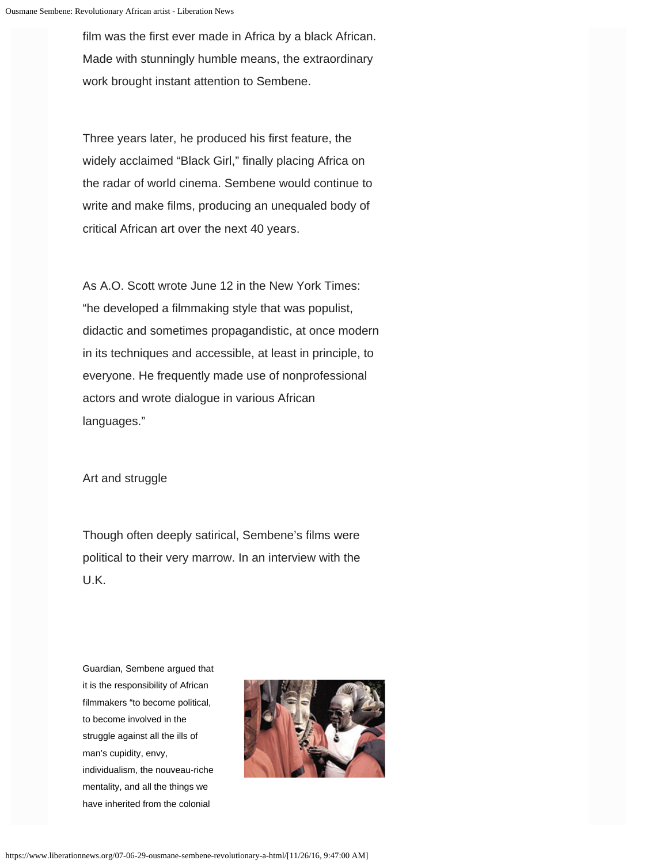film was the first ever made in Africa by a black African. Made with stunningly humble means, the extraordinary work brought instant attention to Sembene.

Three years later, he produced his first feature, the widely acclaimed "Black Girl," finally placing Africa on the radar of world cinema. Sembene would continue to write and make films, producing an unequaled body of critical African art over the next 40 years.

As A.O. Scott wrote June 12 in the New York Times: "he developed a filmmaking style that was populist, didactic and sometimes propagandistic, at once modern in its techniques and accessible, at least in principle, to everyone. He frequently made use of nonprofessional actors and wrote dialogue in various African languages."

Art and struggle

Though often deeply satirical, Sembene's films were political to their very marrow. In an interview with the U.K.

Guardian, Sembene argued that it is the responsibility of African filmmakers "to become political, to become involved in the struggle against all the ills of man's cupidity, envy, individualism, the nouveau-riche mentality, and all the things we have inherited from the colonial

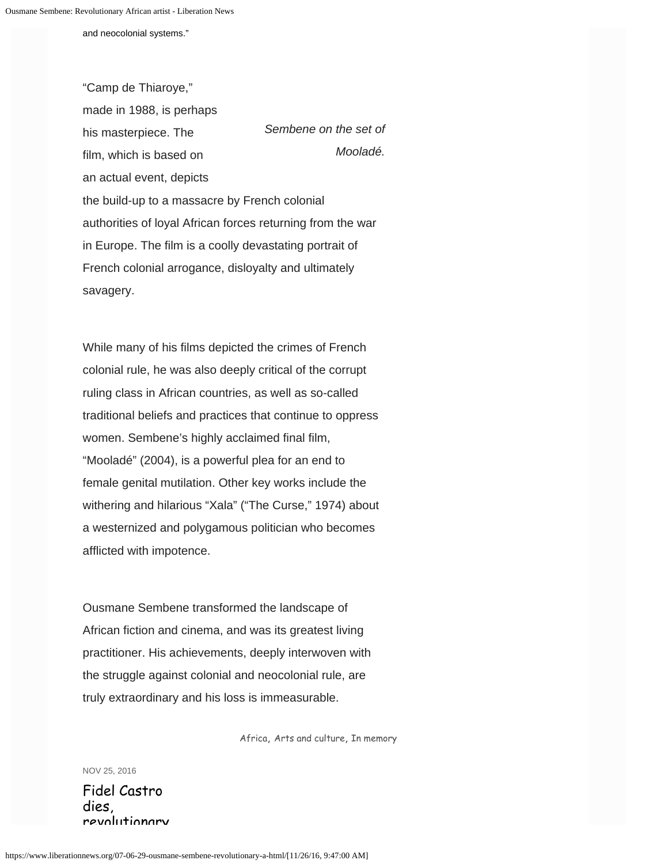and neocolonial systems."

*Sembene on the set of Mooladé.* "Camp de Thiaroye," made in 1988, is perhaps his masterpiece. The film, which is based on an actual event, depicts the build-up to a massacre by French colonial authorities of loyal African forces returning from the war in Europe. The film is a coolly devastating portrait of French colonial arrogance, disloyalty and ultimately savagery.

While many of his films depicted the crimes of French colonial rule, he was also deeply critical of the corrupt ruling class in African countries, as well as so-called traditional beliefs and practices that continue to oppress women. Sembene's highly acclaimed final film, "Mooladé" (2004), is a powerful plea for an end to female genital mutilation. Other key works include the withering and hilarious "Xala" ("The Curse," 1974) about a westernized and polygamous politician who becomes afflicted with impotence.

Ousmane Sembene transformed the landscape of African fiction and cinema, and was its greatest living practitioner. His achievements, deeply interwoven with the struggle against colonial and neocolonial rule, are truly extraordinary and his loss is immeasurable.

[Africa,](https://www.liberationnews.org/tag/africa/) [Arts and culture](https://www.liberationnews.org/tag/arts-and-culture/), [In memory](https://www.liberationnews.org/tag/in-memory/)

NOV 25, 2016

Fidel Castro dies, revolutionary